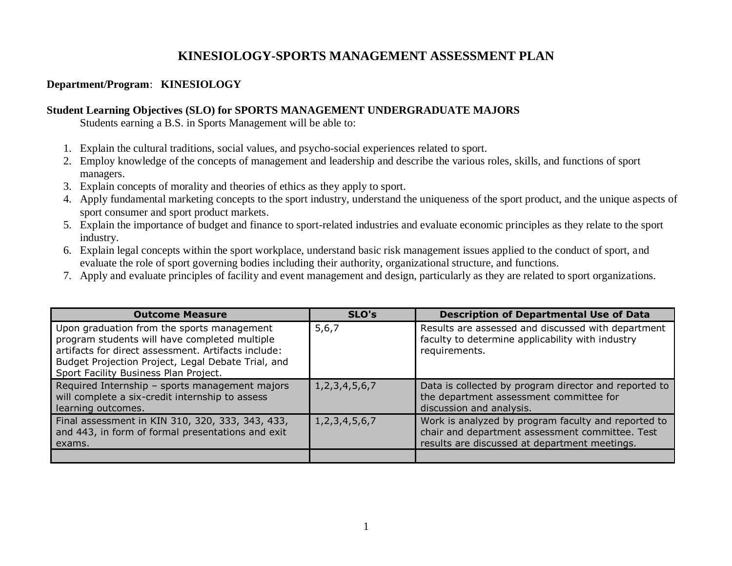# **KINESIOLOGY-SPORTS MANAGEMENT ASSESSMENT PLAN**

### **Department/Program**: **KINESIOLOGY**

#### **Student Learning Objectives (SLO) for SPORTS MANAGEMENT UNDERGRADUATE MAJORS**

Students earning a B.S. in Sports Management will be able to:

- 1. Explain the cultural traditions, social values, and psycho-social experiences related to sport.
- 2. Employ knowledge of the concepts of management and leadership and describe the various roles, skills, and functions of sport managers.
- 3. Explain concepts of morality and theories of ethics as they apply to sport.
- 4. Apply fundamental marketing concepts to the sport industry, understand the uniqueness of the sport product, and the unique aspects of sport consumer and sport product markets.
- 5. Explain the importance of budget and finance to sport-related industries and evaluate economic principles as they relate to the sport industry.
- 6. Explain legal concepts within the sport workplace, understand basic risk management issues applied to the conduct of sport, and evaluate the role of sport governing bodies including their authority, organizational structure, and functions.
- 7. Apply and evaluate principles of facility and event management and design, particularly as they are related to sport organizations.

| <b>Outcome Measure</b>                                                                                                                                                                                                                            | SLO's               | <b>Description of Departmental Use of Data</b>                                                                                                          |
|---------------------------------------------------------------------------------------------------------------------------------------------------------------------------------------------------------------------------------------------------|---------------------|---------------------------------------------------------------------------------------------------------------------------------------------------------|
| Upon graduation from the sports management<br>program students will have completed multiple<br>artifacts for direct assessment. Artifacts include:<br>Budget Projection Project, Legal Debate Trial, and<br>Sport Facility Business Plan Project. | 5,6,7               | Results are assessed and discussed with department<br>faculty to determine applicability with industry<br>requirements.                                 |
| Required Internship - sports management majors<br>will complete a six-credit internship to assess<br>learning outcomes.                                                                                                                           | 1, 2, 3, 4, 5, 6, 7 | Data is collected by program director and reported to<br>the department assessment committee for<br>discussion and analysis.                            |
| Final assessment in KIN 310, 320, 333, 343, 433,<br>and 443, in form of formal presentations and exit<br>exams.                                                                                                                                   | 1, 2, 3, 4, 5, 6, 7 | Work is analyzed by program faculty and reported to<br>chair and department assessment committee. Test<br>results are discussed at department meetings. |
|                                                                                                                                                                                                                                                   |                     |                                                                                                                                                         |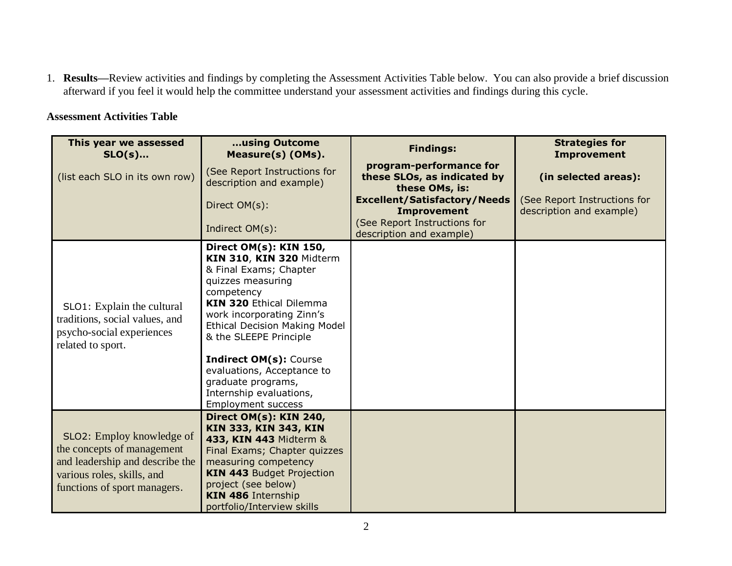1. **Results—**Review activities and findings by completing the Assessment Activities Table below. You can also provide a brief discussion afterward if you feel it would help the committee understand your assessment activities and findings during this cycle.

### **Assessment Activities Table**

| This year we assessed<br>$SLO(s)$                                                                                                                        | using Outcome<br>Measure(s) (OMs).                                                                                                                                                                                                                                                                                                                                                            | <b>Findings:</b>                                                         | <b>Strategies for</b><br><b>Improvement</b>              |
|----------------------------------------------------------------------------------------------------------------------------------------------------------|-----------------------------------------------------------------------------------------------------------------------------------------------------------------------------------------------------------------------------------------------------------------------------------------------------------------------------------------------------------------------------------------------|--------------------------------------------------------------------------|----------------------------------------------------------|
| (list each SLO in its own row)                                                                                                                           | (See Report Instructions for<br>description and example)                                                                                                                                                                                                                                                                                                                                      | program-performance for<br>these SLOs, as indicated by<br>these OMs, is: | (in selected areas):                                     |
|                                                                                                                                                          | Direct OM(s):                                                                                                                                                                                                                                                                                                                                                                                 | <b>Excellent/Satisfactory/Needs</b><br><b>Improvement</b>                | (See Report Instructions for<br>description and example) |
|                                                                                                                                                          | Indirect OM(s):                                                                                                                                                                                                                                                                                                                                                                               | (See Report Instructions for<br>description and example)                 |                                                          |
| SLO1: Explain the cultural<br>traditions, social values, and<br>psycho-social experiences<br>related to sport.                                           | Direct OM(s): KIN 150,<br>KIN 310, KIN 320 Midterm<br>& Final Exams; Chapter<br>quizzes measuring<br>competency<br><b>KIN 320 Ethical Dilemma</b><br>work incorporating Zinn's<br><b>Ethical Decision Making Model</b><br>& the SLEEPE Principle<br><b>Indirect OM(s): Course</b><br>evaluations, Acceptance to<br>graduate programs,<br>Internship evaluations,<br><b>Employment success</b> |                                                                          |                                                          |
| SLO2: Employ knowledge of<br>the concepts of management<br>and leadership and describe the<br>various roles, skills, and<br>functions of sport managers. | <b>Direct OM(s): KIN 240,</b><br><b>KIN 333, KIN 343, KIN</b><br>433, KIN 443 Midterm &<br>Final Exams; Chapter quizzes<br>measuring competency<br><b>KIN 443 Budget Projection</b><br>project (see below)<br><b>KIN 486 Internship</b><br>portfolio/Interview skills                                                                                                                         |                                                                          |                                                          |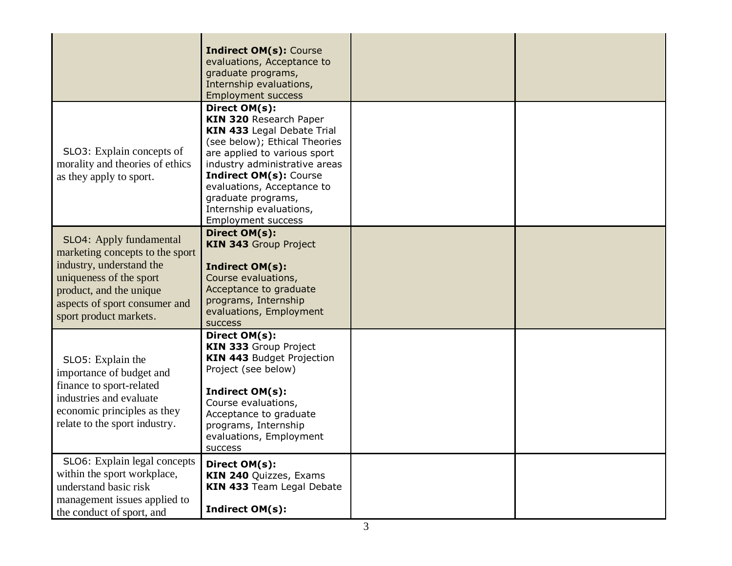|                                                                                                                                                                                                         | <b>Indirect OM(s): Course</b><br>evaluations, Acceptance to<br>graduate programs,<br>Internship evaluations,<br><b>Employment success</b>                                                                                                                                                                                   |  |
|---------------------------------------------------------------------------------------------------------------------------------------------------------------------------------------------------------|-----------------------------------------------------------------------------------------------------------------------------------------------------------------------------------------------------------------------------------------------------------------------------------------------------------------------------|--|
| SLO3: Explain concepts of<br>morality and theories of ethics<br>as they apply to sport.                                                                                                                 | Direct OM(s):<br><b>KIN 320 Research Paper</b><br>KIN 433 Legal Debate Trial<br>(see below); Ethical Theories<br>are applied to various sport<br>industry administrative areas<br><b>Indirect OM(s): Course</b><br>evaluations, Acceptance to<br>graduate programs,<br>Internship evaluations,<br><b>Employment success</b> |  |
| SLO4: Apply fundamental<br>marketing concepts to the sport<br>industry, understand the<br>uniqueness of the sport<br>product, and the unique<br>aspects of sport consumer and<br>sport product markets. | Direct OM(s):<br><b>KIN 343 Group Project</b><br><b>Indirect OM(s):</b><br>Course evaluations,<br>Acceptance to graduate<br>programs, Internship<br>evaluations, Employment<br><b>SUCCESS</b>                                                                                                                               |  |
| SLO5: Explain the<br>importance of budget and<br>finance to sport-related<br>industries and evaluate<br>economic principles as they<br>relate to the sport industry.                                    | Direct OM(s):<br>KIN 333 Group Project<br><b>KIN 443 Budget Projection</b><br>Project (see below)<br>Indirect OM(s):<br>Course evaluations,<br>Acceptance to graduate<br>programs, Internship<br>evaluations, Employment<br>success                                                                                         |  |
| SLO6: Explain legal concepts<br>within the sport workplace,<br>understand basic risk<br>management issues applied to<br>the conduct of sport, and                                                       | Direct OM(s):<br>KIN 240 Quizzes, Exams<br>KIN 433 Team Legal Debate<br>Indirect OM(s):                                                                                                                                                                                                                                     |  |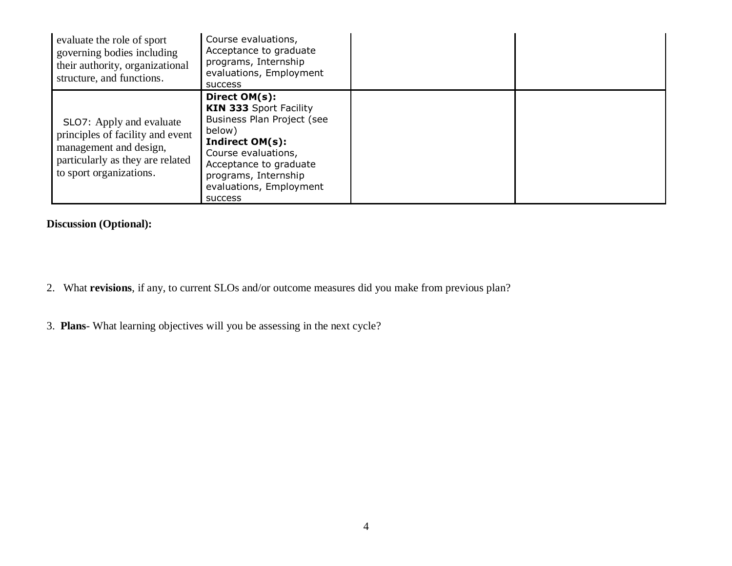| evaluate the role of sport<br>governing bodies including<br>their authority, organizational<br>structure, and functions.                              | Course evaluations,<br>Acceptance to graduate<br>programs, Internship<br>evaluations, Employment<br><b>SUCCESS</b>                                                                                                                     |  |
|-------------------------------------------------------------------------------------------------------------------------------------------------------|----------------------------------------------------------------------------------------------------------------------------------------------------------------------------------------------------------------------------------------|--|
| SLO7: Apply and evaluate<br>principles of facility and event<br>management and design,<br>particularly as they are related<br>to sport organizations. | Direct OM(s):<br><b>KIN 333 Sport Facility</b><br>Business Plan Project (see<br>below)<br><b>Indirect OM(s):</b><br>Course evaluations,<br>Acceptance to graduate<br>programs, Internship<br>evaluations, Employment<br><b>SUCCESS</b> |  |

# **Discussion (Optional):**

- 2. What **revisions**, if any, to current SLOs and/or outcome measures did you make from previous plan?
- 3. **Plans** What learning objectives will you be assessing in the next cycle?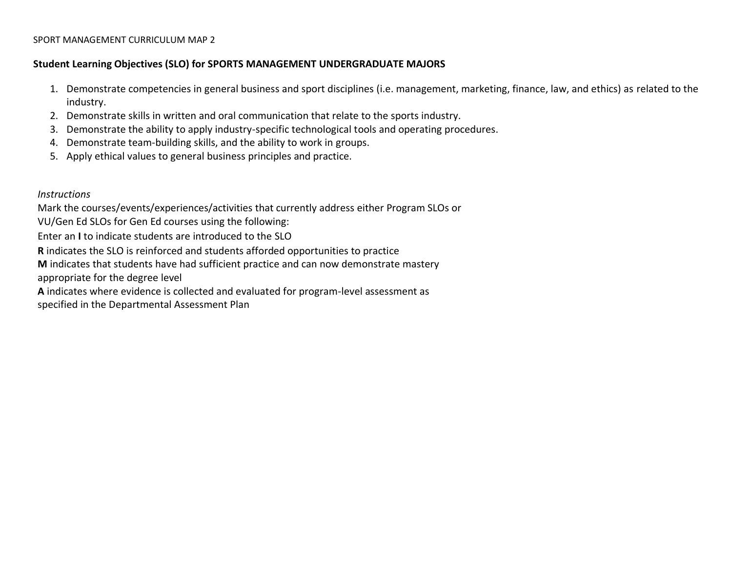#### SPORT MANAGEMENT CURRICULUM MAP 2

#### **Student Learning Objectives (SLO) for SPORTS MANAGEMENT UNDERGRADUATE MAJORS**

- 1. Demonstrate competencies in general business and sport disciplines (i.e. management, marketing, finance, law, and ethics) as related to the industry.
- 2. Demonstrate skills in written and oral communication that relate to the sports industry.
- 3. Demonstrate the ability to apply industry-specific technological tools and operating procedures.
- 4. Demonstrate team-building skills, and the ability to work in groups.
- 5. Apply ethical values to general business principles and practice.

*Instructions*

Mark the courses/events/experiences/activities that currently address either Program SLOs or

VU/Gen Ed SLOs for Gen Ed courses using the following:

Enter an **I** to indicate students are introduced to the SLO

**R** indicates the SLO is reinforced and students afforded opportunities to practice

**M** indicates that students have had sufficient practice and can now demonstrate mastery

appropriate for the degree level

**A** indicates where evidence is collected and evaluated for program-level assessment as

specified in the Departmental Assessment Plan